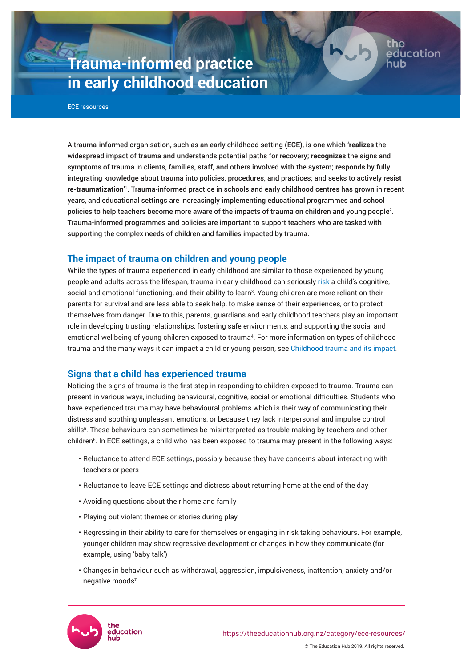# **Trauma-informed practice in early childhood education**

ECE resources

A trauma-informed organisation, such as an early childhood setting (ECE), is one which '**realizes** the widespread impact of trauma and understands potential paths for recovery; **recognizes** the signs and symptoms of trauma in clients, families, staff, and others involved with the system; **responds** by fully integrating knowledge about trauma into policies, procedures, and practices; and seeks to actively **resist re-traumatization'**'. Trauma-informed practice in schools and early childhood centres has grown in recent years, and educational settings are increasingly implementing educational programmes and school policies to help teachers become more aware of the impacts of trauma on children and young people<sup>2</sup>. Trauma-informed programmes and policies are important to support teachers who are tasked with supporting the complex needs of children and families impacted by trauma.

# **The impact of trauma on children and young people**

While the types of trauma experienced in early childhood are similar to those experienced by young people and adults across the lifespan, trauma in early childhood can seriously [risk](https://developingchild.harvard.edu/resources/aces-and-toxic-stress-frequently-asked-questions/) a child's cognitive, social and emotional functioning, and their ability to learn<sup>3</sup>. Young children are more reliant on their parents for survival and are less able to seek help, to make sense of their experiences, or to protect themselves from danger. Due to this, parents, guardians and early childhood teachers play an important role in developing trusting relationships, fostering safe environments, and supporting the social and emotional wellbeing of young children exposed to trauma<sup>4</sup>. For more information on types of childhood trauma and the many ways it can impact a child or young person, see Childhood trauma and its impact*.* 

# **Signs that a child has experienced trauma**

Noticing the signs of trauma is the first step in responding to children exposed to trauma. Trauma can present in various ways, including behavioural, cognitive, social or emotional difficulties. Students who have experienced trauma may have behavioural problems which is their way of communicating their distress and soothing unpleasant emotions, or because they lack interpersonal and impulse control skills<sup>5</sup> . These behaviours can sometimes be misinterpreted as trouble-making by teachers and other children<sup>6</sup> . In ECE settings, a child who has been exposed to trauma may present in the following ways:

- Reluctance to attend ECE settings, possibly because they have concerns about interacting with teachers or peers
- Reluctance to leave ECE settings and distress about returning home at the end of the day
- Avoiding questions about their home and family
- Playing out violent themes or stories during play
- Regressing in their ability to care for themselves or engaging in risk taking behaviours. For example, younger children may show regressive development or changes in how they communicate (for example, using 'baby talk')
- Changes in behaviour such as withdrawal, aggression, impulsiveness, inattention, anxiety and/or negative moods<sup>7</sup>.



ducation: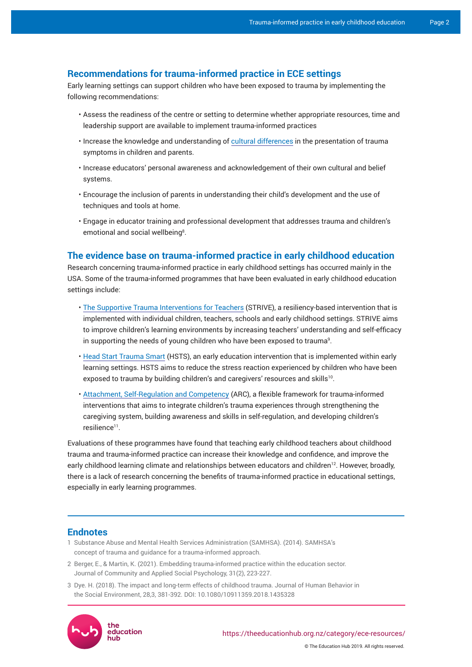## **Recommendations for trauma-informed practice in ECE settings**

Early learning settings can support children who have been exposed to trauma by implementing the following recommendations:

- Assess the readiness of the centre or setting to determine whether appropriate resources, time and leadership support are available to implement trauma-informed practices
- Increase the knowledge and understanding of cultural differences in the presentation of trauma symptoms in children and parents.
- Increase educators' personal awareness and acknowledgement of their own cultural and belief systems.
- Encourage the inclusion of parents in understanding their child's development and the use of techniques and tools at home.
- Engage in educator training and professional development that addresses trauma and children's emotional and social wellbeing<sup>8</sup>.

## **The evidence base on trauma-informed practice in early childhood education**

Research concerning trauma-informed practice in early childhood settings has occurred mainly in the USA. Some of the trauma-informed programmes that have been evaluated in early childhood education settings include:

- [The Supportive Trauma Interventions for Teachers](https://www.vitalvillage.org/projects/innovations-in-education/supportive-trauma-interventions-for-educators) (STRIVE), a resiliency-based intervention that is implemented with individual children, teachers, schools and early childhood settings. STRIVE aims to improve children's learning environments by increasing teachers' understanding and self-efficacy in supporting the needs of young children who have been exposed to trauma $^{\rm o}$ .
- [Head Start Trauma Smart](http://traumasmart.org/) (HSTS), an early education intervention that is implemented within early learning settings. HSTS aims to reduce the stress reaction experienced by children who have been exposed to trauma by building children's and caregivers' resources and skills<sup>10</sup>.
- [Attachment, Self-Regulation and Competency](https://arcframework.org/what-is-arc/) (ARC), a flexible framework for trauma-informed interventions that aims to integrate children's trauma experiences through strengthening the caregiving system, building awareness and skills in self-regulation, and developing children's resilience<sup>11</sup>.

Evaluations of these programmes have found that teaching early childhood teachers about childhood trauma and trauma-informed practice can increase their knowledge and confidence, and improve the early childhood learning climate and relationships between educators and children<sup>12</sup>. However, broadly, there is a lack of research concerning the benefits of trauma-informed practice in educational settings, especially in early learning programmes.

### **Endnotes**

- 1 Substance Abuse and Mental Health Services Administration (SAMHSA). (2014). [SAMHSA's](https://ncsacw.samhsa.gov/userfiles/files/SAMHSA_Trauma.pdf)  [concept of trauma and guidance for a trauma-informed approach](https://ncsacw.samhsa.gov/userfiles/files/SAMHSA_Trauma.pdf).
- 2 Berger, E., & Martin, K. (2021). Embedding trauma-informed practice within the education sector. Journal of Community and Applied Social Psychology, 31(2), 223-227.
- 3 Dye. H. (2018). The impact and long-term effects of childhood trauma. Journal of Human Behavior in the Social Environment, 28,3, 381-392. DOI: 10.1080/10911359.2018.1435328



© The Education Hub 2019. All rights reserved.